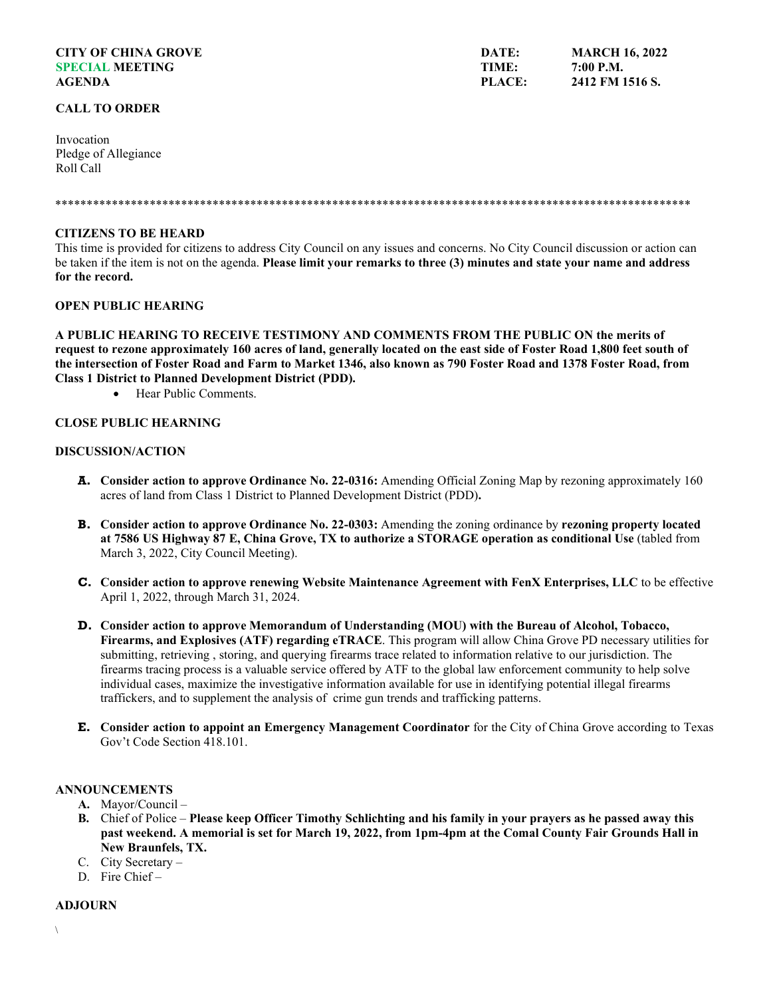# **CITY OF CHINA GROVE SPECIAL MEETING AGENDA**

### **CALL TO ORDER**

Invocation Pledge of Allegiance Roll Call

#### \*\*\*\*\*\*\*\*\*\*\*\*\*\*\*\*\*\*\*\*\*\*\*\*\*\*\*\*\*\*\*\*\*\*\*\*\*\*\*\*\*\*\*\*\*\*\*\*\*\*\*\*\*\*\*\*\*\*\*\*\*\*\*\*\*\*\*\*\*\*\*\*\*\*\*\*\*\*\*\*\*\*\*\*\*\*\*\*\*\*\*\*\*\*\*\*\*\*\*\*\*

### **CITIZENS TO BE HEARD**

This time is provided for citizens to address City Council on any issues and concerns. No City Council discussion or action can be taken if the item is not on the agenda. **Please limit your remarks to three (3) minutes and state your name and address for the record.**

# **OPEN PUBLIC HEARING**

**A PUBLIC HEARING TO RECEIVE TESTIMONY AND COMMENTS FROM THE PUBLIC ON the merits of request to rezone approximately 160 acres of land, generally located on the east side of Foster Road 1,800 feet south of the intersection of Foster Road and Farm to Market 1346, also known as 790 Foster Road and 1378 Foster Road, from Class 1 District to Planned Development District (PDD).**

• Hear Public Comments.

# **CLOSE PUBLIC HEARNING**

# **DISCUSSION/ACTION**

- **A. Consider action to approve Ordinance No. 22-0316:** Amending Official Zoning Map by rezoning approximately 160 acres of land from Class 1 District to Planned Development District (PDD)**.**
- **B. Consider action to approve Ordinance No. 22-0303:** Amending the zoning ordinance by **rezoning property located at 7586 US Highway 87 E, China Grove, TX to authorize a STORAGE operation as conditional Use** (tabled from March 3, 2022, City Council Meeting).
- **C. Consider action to approve renewing Website Maintenance Agreement with FenX Enterprises, LLC** to be effective April 1, 2022, through March 31, 2024.
- **D. Consider action to approve Memorandum of Understanding (MOU) with the Bureau of Alcohol, Tobacco, Firearms, and Explosives (ATF) regarding eTRACE**. This program will allow China Grove PD necessary utilities for submitting, retrieving , storing, and querying firearms trace related to information relative to our jurisdiction. The firearms tracing process is a valuable service offered by ATF to the global law enforcement community to help solve individual cases, maximize the investigative information available for use in identifying potential illegal firearms traffickers, and to supplement the analysis of crime gun trends and trafficking patterns.
- **E. Consider action to appoint an Emergency Management Coordinator** for the City of China Grove according to Texas Gov't Code Section 418.101.

### **ANNOUNCEMENTS**

- **A.** Mayor/Council –
- **B.** Chief of Police **Please keep Officer Timothy Schlichting and his family in your prayers as he passed away this past weekend. A memorial is set for March 19, 2022, from 1pm-4pm at the Comal County Fair Grounds Hall in New Braunfels, TX.**
- C. City Secretary –
- D. Fire Chief –

## **ADJOURN**

**DATE: TIME: PLACE: MARCH 16, 2022 7:00 P.M. 2412 FM 1516 S.**